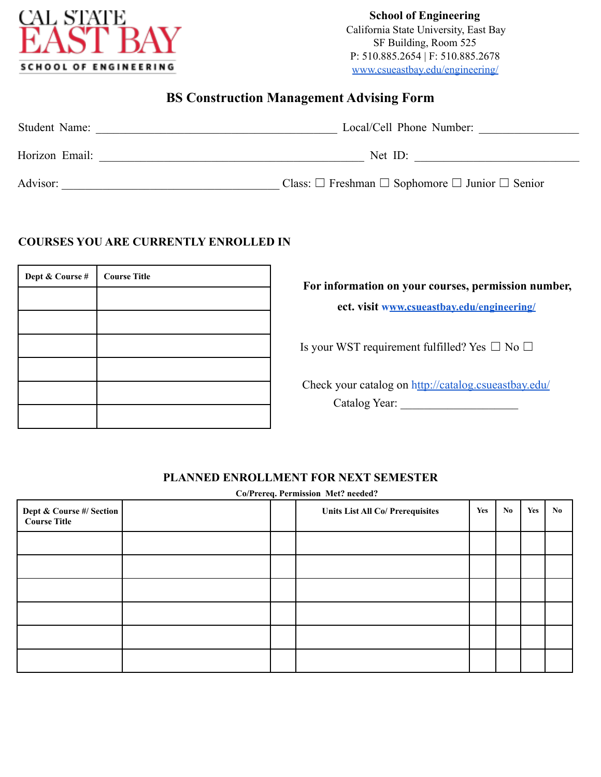

## **BS Construction Management Advising Form**

| Student Name:  | Local/Cell Phone Number:                                            |
|----------------|---------------------------------------------------------------------|
| Horizon Email: | Net $ID$ :                                                          |
| Advisor:       | Class: $\Box$ Freshman $\Box$ Sophomore $\Box$ Junior $\Box$ Senior |

## **COURSES YOU ARE CURRENTLY ENROLLED IN**

| Dept & Course # | <b>Course Title</b> |
|-----------------|---------------------|
|                 |                     |
|                 |                     |
|                 |                     |
|                 |                     |
|                 |                     |
|                 |                     |

**For information on your courses, permission number,**

**ect. visit www.csueastbay.edu/engineering/**

Is your WST requirement fulfilled? Yes  $\Box$  No  $\Box$ 

Check your catalog on http://catalog.csueastbay.edu/ Catalog Year: \_\_\_\_\_\_\_\_\_\_\_\_\_\_\_\_\_\_\_\_

## **PLANNED ENROLLMENT FOR NEXT SEMESTER**

**Co/Prereq. Permission Met? needed?**

| Dept & Course #/ Section |  | <b>Units List All Co/ Prerequisites</b> | Yes | No. | Yes | No. |
|--------------------------|--|-----------------------------------------|-----|-----|-----|-----|
|                          |  |                                         |     |     |     |     |
|                          |  |                                         |     |     |     |     |
|                          |  |                                         |     |     |     |     |
|                          |  |                                         |     |     |     |     |
|                          |  |                                         |     |     |     |     |
|                          |  |                                         |     |     |     |     |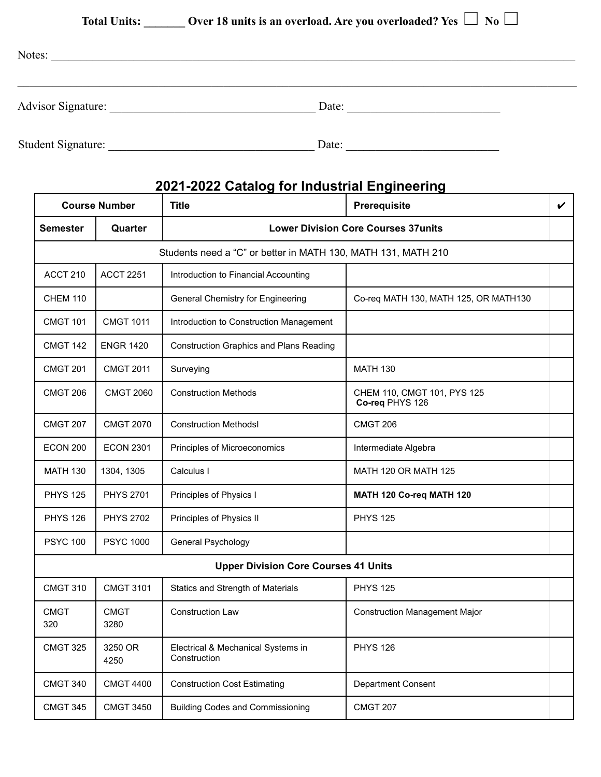**Total Units: \_\_\_\_\_\_\_ Over 18 units is an overload. Are you overloaded? Yes** ☐ **No** ☐

| Notes:             |       |
|--------------------|-------|
| Advisor Signature: | Date: |
| Student Signature: | Date: |

## **2021-2022 Catalog for Industrial Engineering**

| <b>Course Number</b> |                     | <b>Title</b>                                                  | <b>Prerequisite</b>                            | $\checkmark$ |
|----------------------|---------------------|---------------------------------------------------------------|------------------------------------------------|--------------|
| <b>Semester</b>      | Quarter             | <b>Lower Division Core Courses 37units</b>                    |                                                |              |
|                      |                     | Students need a "C" or better in MATH 130, MATH 131, MATH 210 |                                                |              |
| ACCT 210             | <b>ACCT 2251</b>    | Introduction to Financial Accounting                          |                                                |              |
| <b>CHEM 110</b>      |                     | <b>General Chemistry for Engineering</b>                      | Co-req MATH 130, MATH 125, OR MATH130          |              |
| <b>CMGT 101</b>      | <b>CMGT 1011</b>    | Introduction to Construction Management                       |                                                |              |
| <b>CMGT 142</b>      | <b>ENGR 1420</b>    | <b>Construction Graphics and Plans Reading</b>                |                                                |              |
| <b>CMGT 201</b>      | <b>CMGT 2011</b>    | Surveying                                                     | <b>MATH 130</b>                                |              |
| <b>CMGT 206</b>      | <b>CMGT 2060</b>    | <b>Construction Methods</b>                                   | CHEM 110, CMGT 101, PYS 125<br>Co-req PHYS 126 |              |
| <b>CMGT 207</b>      | <b>CMGT 2070</b>    | <b>Construction Methodsl</b>                                  | <b>CMGT 206</b>                                |              |
| ECON 200             | <b>ECON 2301</b>    | Principles of Microeconomics                                  | Intermediate Algebra                           |              |
| <b>MATH 130</b>      | 1304, 1305          | Calculus I                                                    | <b>MATH 120 OR MATH 125</b>                    |              |
| <b>PHYS 125</b>      | <b>PHYS 2701</b>    | Principles of Physics I                                       | MATH 120 Co-req MATH 120                       |              |
| <b>PHYS 126</b>      | <b>PHYS 2702</b>    | Principles of Physics II                                      | <b>PHYS 125</b>                                |              |
| <b>PSYC 100</b>      | <b>PSYC 1000</b>    | General Psychology                                            |                                                |              |
|                      |                     | <b>Upper Division Core Courses 41 Units</b>                   |                                                |              |
| <b>CMGT 310</b>      | <b>CMGT 3101</b>    | Statics and Strength of Materials                             | <b>PHYS 125</b>                                |              |
| <b>CMGT</b><br>320   | <b>CMGT</b><br>3280 | <b>Construction Law</b>                                       | <b>Construction Management Major</b>           |              |
| <b>CMGT 325</b>      | 3250 OR<br>4250     | Electrical & Mechanical Systems in<br>Construction            | <b>PHYS 126</b>                                |              |
| <b>CMGT 340</b>      | <b>CMGT 4400</b>    | <b>Construction Cost Estimating</b>                           | <b>Department Consent</b>                      |              |
| <b>CMGT 345</b>      | <b>CMGT 3450</b>    | <b>Building Codes and Commissioning</b>                       | <b>CMGT 207</b>                                |              |